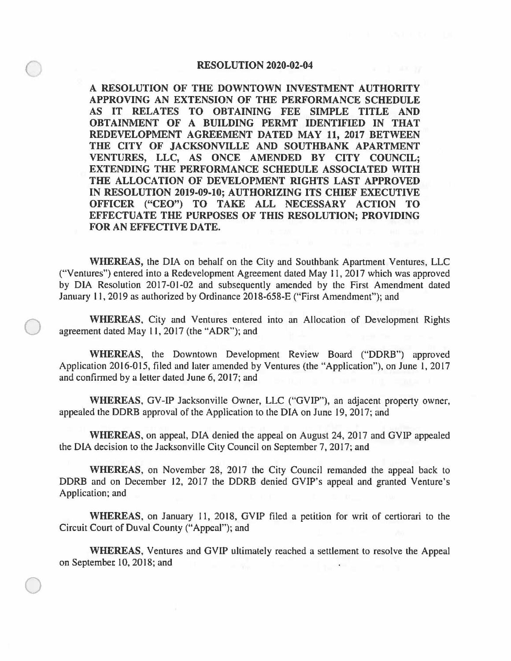## **RESOLUTION 2020-02-04**

 $\bigcirc$ 

 $\bigcirc$ 

 $\bigcirc$ 

**A RESOLUTION OF THE DOWNTOWN INVESTMENT AUTHORITY APPROVING AN EXTENSION OF THE PERFORMANCE SCHEDULE AS IT RELATES TO OBTAINING FEE SIMPLE TITLE AND OBTAINMENT OF A BUILDING PERMT IDENTIFIED IN THAT REDEVELOPMENT AGREEMENT DATED MAY 11, 2017 BETWEEN THE CITY OF JACKSONVILLE AND SOUTHBANK APARTMENT VENTURES, LLC, AS ONCE AMENDED BY CITY COUNCIL; EXTENDING THE PERFORMANCE SCHEDULE ASSOCIATED WITH THE ALLOCATION OF DEVELOPMENT RIGHTS LAST APPROVED IN RESOLUTION 2019-09-10; AUTHORIZING ITS CHIEF EXECUTIVE OFFICER ("CEO") TO TAKE ALL NECESSARY ACTION TO EFFECTUATE THE PURPOSES OF THIS RESOLUTION; PROVIDING FOR AN EFFECTIVE DATE.** 

**WHEREAS,** the DIA on behalf on the City and Southbank Apartment Ventures, LLC ("Ventures") entered into a Redevelopment Agreement dated May 11, 2017 which was approved by DIA Resolution 2017-01-02 and subsequently amended by the First Amendment dated January 11, 2019 as authorized by Ordinance 2018-658-E ("First Amendment"); and

**WHEREAS,** City and Ventures entered into an Allocation of Development Rights agreement dated May 11, 2017 (the "ADR"); and

**WHEREAS,** the Downtown Development Review Board ("DDRB") approved Application 2016-015, filed and later amended by Ventures (the "Application"), on June 1, 2017 and confirmed by a letter dated June 6, 2017; and

**WHEREAS,** GV-IP Jacksonville Owner, LLC ("GVIP"), an adjacent property owner, appealed the DDRB approval of the Application to the DIA on June 19, 2017; and

**WHEREAS,** on appeal, DIA denied the appeal on August 24, 2017 and GVIP appealed the DIA decision to the Jacksonville City Council on September 7, 2017; and

**WHEREAS,** on November 28, 2017 the City Council remanded the appeal back to DDRB and on December 12, 2017 the DDRB denied GVIP's appeal and granted Venture's Application; and

**WHEREAS,** on January 11, 2018, GVIP filed a petition for writ of certiorari to the Circuit Court of Duval County ("Appeal"); and

**WHEREAS,** Ventures and GVIP ultimately reached a settlement to resolve the Appeal on September 10, 2018; and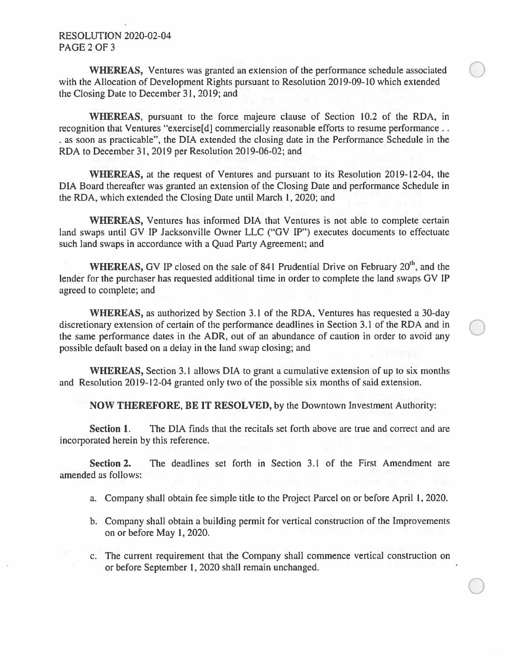## RESOLUTION 2020-02-04 PAGE2OF3

**WHEREAS, Ventures was granted an extension of the performance schedule associated** with the Allocation of Development Rights pursuant to Resolution 2019-09-10 which extended the Closing Date to December 31, 2019; and

**WHEREAS,** pursuant to the force majeure clause of Section 10.2 of the RDA, in recognition that Ventures "exercise [d] commercially reasonable efforts to resume performance.. . as soon as practicable", the DIA extended the closing date in the Performance Schedule in the RDA to December 31, 2019 per Resolution 2019-06-02; and

**WHEREAS,** at the request of Ventures and pursuant to its Resolution 2019-12-04, the DIA Board thereafter was granted an extension of the Closing Date and performance Schedule in the RDA, which extended the Closing Date until March I, 2020; and

**WHEREAS,** Ventures has informed DIA that Ventures is not able to complete certain land swaps until GV IP Jacksonville Owner LLC ("GV IP") executes documents to effectuate such land swaps in accordance with a Quad Party Agreement; and

**WHEREAS, GV IP closed on the sale of 841 Prudential Drive on February 20<sup>th</sup>, and the** lender for the purchaser has requested additional time in order to complete the land swaps GV IP agreed to complete; and

**WHEREAS,** as authorized by Section 3.1 of the RDA, Ventures has requested a 30-day discretionary extension of certain of the performance deadlines in Section 3.1 of the RDA and in the same performance dates in the ADR, out of an abundance of caution in order to avoid any possible default based on a delay in the land swap closing; and

**WHEREAS,** Section 3. 1 allows DIA to grant a cumulative extension of up to six months and Resolution 2019-12~04 granted only two of the possible six months of said extension.

**NOW THEREFORE, BE IT RESOLVED,** by the Downtown Investment Authority:

**Section 1.** The DIA finds that the recitals set forth above are true and correct and are incorporated herein by this reference.

**Section 2.** The deadlines set forth in Section 3.1 of the First Amendment are amended as follows:

- a. Company shall obtain fee simple title to the Project Parcel on or before April 1, 2020.
- b. Company shall obtain a building permit for vertical construction of the Improvements on or before May 1, 2020.
- c. The current requirement that the Company shall commence vertical construction on or before September 1, 2020 shall remain unchanged.

 $\bigcirc$